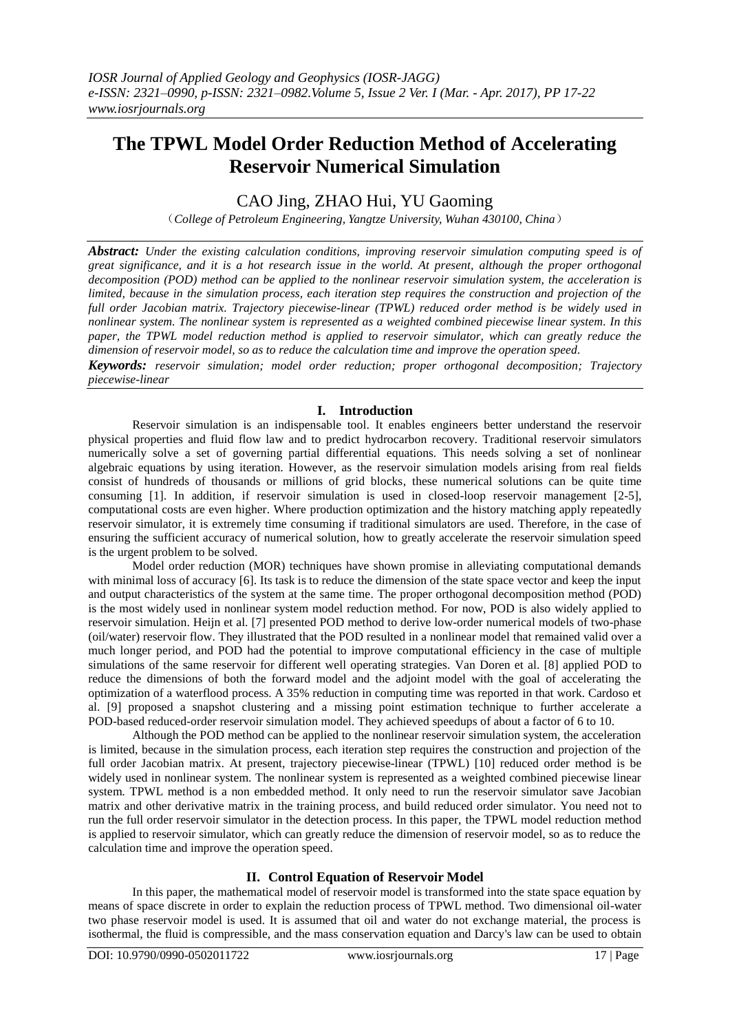# **The TPWL Model Order Reduction Method of Accelerating Reservoir Numerical Simulation**

## CAO Jing, ZHAO Hui, YU Gaoming

(*College of Petroleum Engineering, Yangtze University, Wuhan 430100, China*)

*Abstract: Under the existing calculation conditions, improving reservoir simulation computing speed is of great significance, and it is a hot research issue in the world. At present, although the proper orthogonal decomposition (POD) method can be applied to the nonlinear reservoir simulation system, the acceleration is limited, because in the simulation process, each iteration step requires the construction and projection of the full order Jacobian matrix. Trajectory piecewise-linear (TPWL) reduced order method is be widely used in nonlinear system. The nonlinear system is represented as a weighted combined piecewise linear system. In this paper, the TPWL model reduction method is applied to reservoir simulator, which can greatly reduce the dimension of reservoir model, so as to reduce the calculation time and improve the operation speed.*

*Keywords: reservoir simulation; model order reduction; proper orthogonal decomposition; Trajectory piecewise-linear* 

#### **I. Introduction**

Reservoir simulation is an indispensable tool. It enables engineers better understand the reservoir physical properties and fluid flow law and to predict hydrocarbon recovery. Traditional reservoir simulators numerically solve a set of governing partial differential equations. This needs solving a set of nonlinear algebraic equations by using iteration. However, as the reservoir simulation models arising from real fields consist of hundreds of thousands or millions of grid blocks, these numerical solutions can be quite time consuming [1]. In addition, if reservoir simulation is used in closed-loop reservoir management [2-5], computational costs are even higher. Where production optimization and the history matching apply repeatedly reservoir simulator, it is extremely time consuming if traditional simulators are used. Therefore, in the case of ensuring the sufficient accuracy of numerical solution, how to greatly accelerate the reservoir simulation speed is the urgent problem to be solved.

Model order reduction (MOR) techniques have shown promise in alleviating computational demands with minimal loss of accuracy [6]. Its task is to reduce the dimension of the state space vector and keep the input and output characteristics of the system at the same time. The proper orthogonal decomposition method (POD) is the most widely used in nonlinear system model reduction method. For now, POD is also widely applied to reservoir simulation. Heijn et al. [7] presented POD method to derive low-order numerical models of two-phase (oil/water) reservoir flow. They illustrated that the POD resulted in a nonlinear model that remained valid over a much longer period, and POD had the potential to improve computational efficiency in the case of multiple simulations of the same reservoir for different well operating strategies. Van Doren et al. [8] applied POD to reduce the dimensions of both the forward model and the adjoint model with the goal of accelerating the optimization of a waterflood process. A 35% reduction in computing time was reported in that work. Cardoso et al. [9] proposed a snapshot clustering and a missing point estimation technique to further accelerate a POD-based reduced-order reservoir simulation model. They achieved speedups of about a factor of 6 to 10.

Although the POD method can be applied to the nonlinear reservoir simulation system, the acceleration is limited, because in the simulation process, each iteration step requires the construction and projection of the full order Jacobian matrix. At present, trajectory piecewise-linear (TPWL) [10] reduced order method is be widely used in nonlinear system. The nonlinear system is represented as a weighted combined piecewise linear system. TPWL method is a non embedded method. It only need to run the reservoir simulator save Jacobian matrix and other derivative matrix in the training process, and build reduced order simulator. You need not to run the full order reservoir simulator in the detection process. In this paper, the TPWL model reduction method is applied to reservoir simulator, which can greatly reduce the dimension of reservoir model, so as to reduce the calculation time and improve the operation speed.

### **II. Control Equation of Reservoir Model**

In this paper, the mathematical model of reservoir model is transformed into the state space equation by means of space discrete in order to explain the reduction process of TPWL method. Two dimensional oil-water two phase reservoir model is used. It is assumed that oil and water do not exchange material, the process is isothermal, the fluid is compressible, and the mass conservation equation and Darcy's law can be used to obtain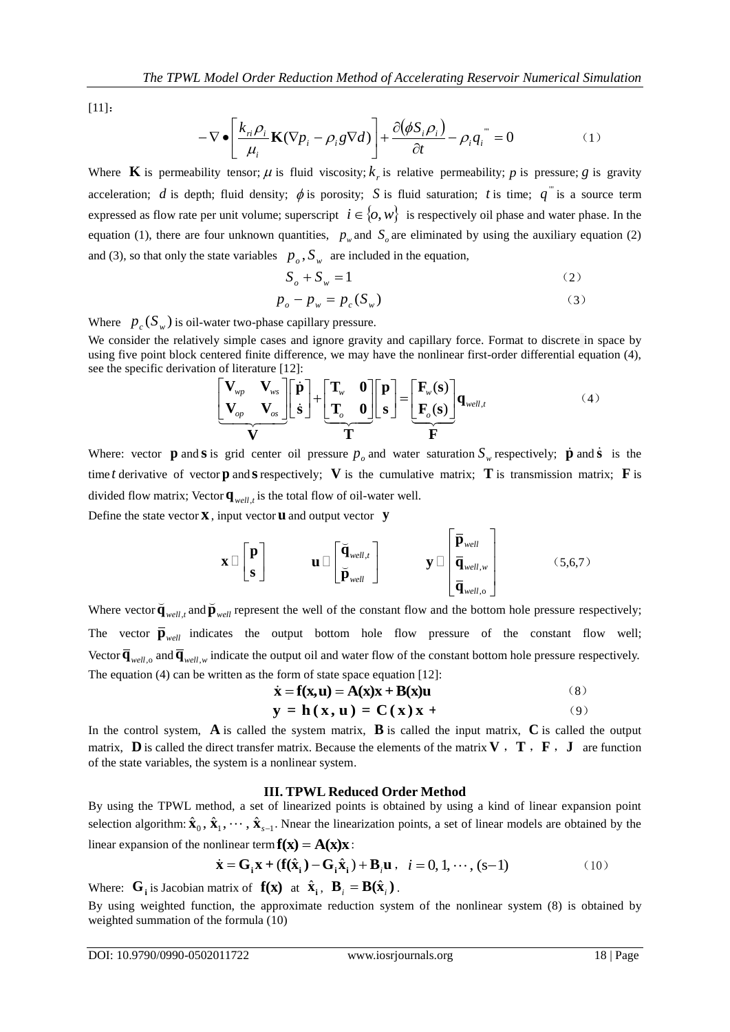[11]:

$$
-\nabla \bullet \left[\frac{k_{\dot{n}}\rho_i}{\mu_i} \mathbf{K}(\nabla p_i - \rho_i g \nabla d)\right] + \frac{\partial(\phi S_i \rho_i)}{\partial t} - \rho_i q_i^{(0)} = 0 \tag{1}
$$

Where **K** is permeability tensor;  $\mu$  is fluid viscosity;  $k_r$  is relative permeability; p is pressure; g is gravity acceleration; *d* is depth; fluid density;  $\phi$  is porosity; *S* is fluid saturation; *t* is time;  $q^{\text{}}$  is a source term expressed as flow rate per unit volume; superscript  $i \in \{0, w\}$  is respectively oil phase and water phase. In the equation (1), there are four unknown quantities,  $p_w$  and  $S_o$  are eliminated by using the auxiliary equation (2) and (3), so that only the state variables  $p_o$ ,  $S_w$  are included in the equation,

$$
S_o + S_w = 1 \tag{2}
$$

$$
p_o - p_w = p_c(S_w)
$$
 (3)

Where  $p_c(S_w)$  is oil-water two-phase capillary pressure.

We consider the relatively simple cases and ignore gravity and capillary force. Format to discrete in space by see the specific derivation of literature [12]:

using five point block centered finite difference, we may have the nonlinear first-order differential equation (4),  
see the specific derivation of literature [12]:  

$$
\begin{bmatrix}\n\mathbf{V}_{wp} & \mathbf{V}_{ws} \\
\mathbf{V}_{op} & \mathbf{V}_{os}\n\end{bmatrix}\n\begin{bmatrix}\n\dot{\mathbf{p}} \\
\dot{\mathbf{s}}\n\end{bmatrix} + \n\begin{bmatrix}\n\mathbf{T}_{w} & \mathbf{0} \\
\mathbf{T}_{o} & \mathbf{0}\n\end{bmatrix}\n\begin{bmatrix}\n\mathbf{p} \\
\mathbf{s}\n\end{bmatrix} = \n\begin{bmatrix}\n\mathbf{F}_{w}(\mathbf{s}) \\
\mathbf{F}_{o}(\mathbf{s})\n\end{bmatrix}\n\mathbf{q}_{well,t}
$$
(4)

Where: vector **p** and **s** is grid center oil pressure  $p_o$  and water saturation  $S_w$  respectively; **p** and **s** is the time t derivative of vector **p** and **s** respectively; V is the cumulative matrix; T is transmission matrix; F is divided flow matrix; Vector  $\mathbf{q}_{well, t}$  is the total flow of oil-water well. Define the state vector **x** , input vector **u** and output vector **y**

$$
\mathbf{x} \Box \begin{bmatrix} \mathbf{p} \\ \mathbf{s} \end{bmatrix} \qquad \mathbf{u} \Box \begin{bmatrix} \breve{\mathbf{q}}_{well,t} \\ \breve{\mathbf{p}}_{well} \end{bmatrix} \qquad \mathbf{y} \Box \begin{bmatrix} \overline{\mathbf{p}}_{well} \\ \overline{\mathbf{q}}_{well,w} \\ \overline{\mathbf{q}}_{well,o} \end{bmatrix} \qquad (5,6,7)
$$

Where vector  $\overline{\mathbf{q}}_{well,t}$  and  $\overline{\mathbf{p}}_{well}$  represent the well of the constant flow and the bottom hole pressure respectively; The vector  $\overline{\mathbf{p}}_{well}$  indicates the output bottom hole flow pressure of the constant flow well; Vector  $\overline{\mathbf{q}}_{well, o}$  and  $\overline{\mathbf{q}}_{well, w}$  indicate the output oil and water flow of the constant bottom hole pressure respectively. The equation (4) can be written as the form of state space equation [12]:<br>  $\dot{\mathbf{x}} = \mathbf{f}(\mathbf{x}, \mathbf{u}) = \mathbf{A}(\mathbf{x})\mathbf{x} + \mathbf{B}(\mathbf{x})\mathbf{u}$  (8)

$$
\dot{\mathbf{x}} = \mathbf{f}(\mathbf{x}, \mathbf{u}) = \mathbf{A}(\mathbf{x})\mathbf{x} + \mathbf{B}(\mathbf{x})\mathbf{u}
$$
 (8)

$$
y = h(x, u) = C(x)x +
$$
  
(6)  

$$
y = h(x, u) = C(x)x +
$$

In the control system,  $\bf{A}$  is called the system matrix,  $\bf{B}$  is called the input matrix,  $\bf{C}$  is called the output matrix, **D** is called the direct transfer matrix. Because the elements of the matrix **V**, **T**, **F**, **J** are function of the state variables, the system is a nonlinear system.

#### **III. TPWL Reduced Order Method**

By using the TPWL method, a set of linearized points is obtained by using a kind of linear expansion point selection algorithm:  $\hat{\mathbf{x}}_0$ ,  $\hat{\mathbf{x}}_1$ ,  $\cdots$ ,  $\hat{\mathbf{x}}_{s-1}$ . Nnear the linearization points, a set of linear models are obtained by the linear expansion of the nonlinear term  $\mathbf{f}(\mathbf{x}) = \mathbf{A}(\mathbf{x})\mathbf{x}$ :<br>  $\dot{\mathbf{x}} = \mathbf{G}_i \mathbf{x} + (\mathbf{f}(\hat{\mathbf{x}}_i) - \mathbf{G}_i \hat{\mathbf{x}}_i) + \mathbf{B}_i \mathbf{u}$ 

$$
\dot{\mathbf{x}} = \mathbf{G}_i \mathbf{x} + (\mathbf{f}(\hat{\mathbf{x}}_i) - \mathbf{G}_i \hat{\mathbf{x}}_i) + \mathbf{B}_i \mathbf{u}, \quad i = 0, 1, \dots, (s-1)
$$
 (10)

Where:  $\mathbf{G}_i$  is Jacobian matrix of  $\mathbf{f}(\mathbf{x})$  at  $\hat{\mathbf{x}}_i$ ,  $\mathbf{B}_i = \mathbf{B}(\hat{\mathbf{x}}_i)$ .

By using weighted function, the approximate reduction system of the nonlinear system (8) is obtained by weighted summation of the formula (10)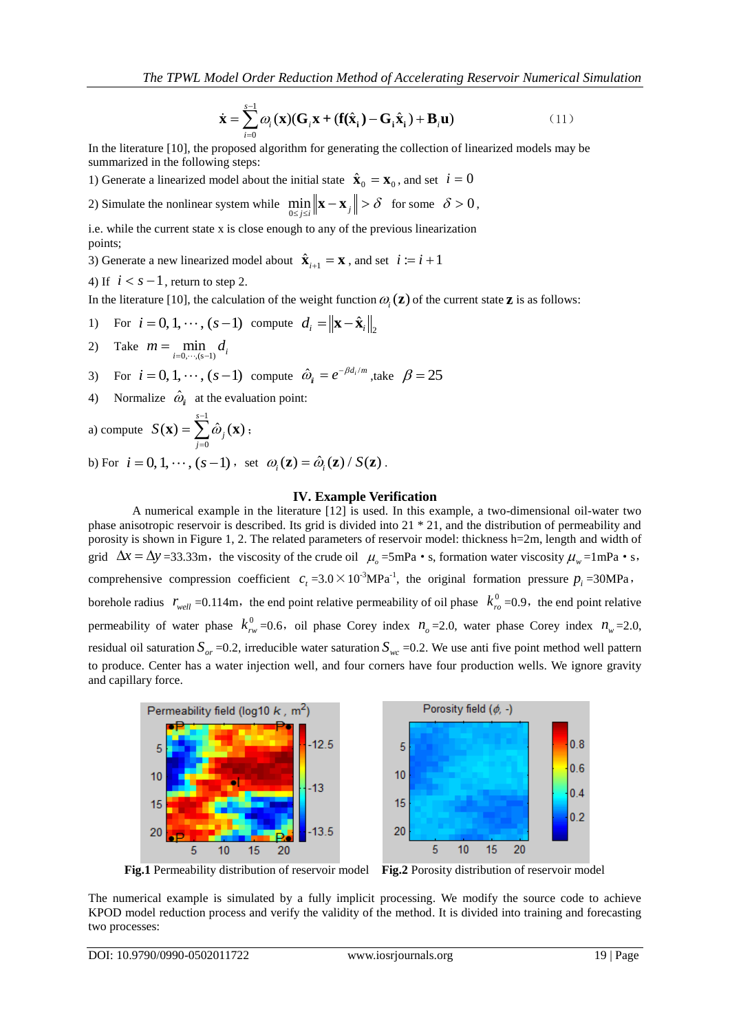$$
\dot{\mathbf{x}} = \sum_{i=0}^{s-1} \omega_i(\mathbf{x})(\mathbf{G}_i \mathbf{x} + (\mathbf{f}(\hat{\mathbf{x}}_i) - \mathbf{G}_i \hat{\mathbf{x}}_i) + \mathbf{B}_i \mathbf{u})
$$
(11)

In the literature [10], the proposed algorithm for generating the collection of linearized models may be summarized in the following steps:

1) Generate a linearized model about the initial state  $\hat{\mathbf{x}}_0 = \mathbf{x}_0$ , and set  $i = 0$ 

2) Simulate the nonlinear system while  $\min_{0 \le j \le i} \|\mathbf{x} - \mathbf{x}_j\|$  $\delta$  $\min_{1 \leq j \leq i} \|\mathbf{x} - \mathbf{x}_j\| > \delta$  for some  $\delta > 0$ ,

i.e. while the current state x is close enough to any of the previous linearization points;

3) Generate a new linearized model about  $\hat{\mathbf{x}}_{i+1} = \mathbf{x}$ , and set  $i := i + 1$ 

4) If  $i < s - 1$ , return to step 2.

In the literature [10], the calculation of the weight function  $\omega_i(z)$  of the current state **z** is as follows:

- 1) For  $i = 0, 1, \dots, (s-1)$  compute  $d_i = ||\mathbf{x} \hat{\mathbf{x}}_i||_2$
- 2) Take  $m = \min_{i=0,\dots,(s-1)} d_i$
- 3) For  $i = 0, 1, \dots, (s-1)$  compute  $\hat{\omega}_i = e^{-\beta d_i/m}$ , take  $\beta = 25$
- 4) Normalize  $\hat{\omega}_{i}$  at the evaluation point:

a) compute 1  $\boldsymbol{0}$  $(\mathbf{x}) = \sum_{i=1}^{s-1} \hat{\boldsymbol{\omega}}_i(\mathbf{x})$ *j j*  $S(\mathbf{x}) = \sum \hat{\omega}$  $\overline{a}$  $\mathbf{x}) = \sum_{j=0}^{n} \hat{\omega}_j(\mathbf{x})$  ;

b) For  $i = 0, 1, \dots, (s-1)$ , set  $\omega_i(\mathbf{z}) = \hat{\omega}_i(\mathbf{z}) / S(\mathbf{z})$ .

#### **IV. Example Verification**

A numerical example in the literature [12] is used. In this example, a two-dimensional oil-water two phase anisotropic reservoir is described. Its grid is divided into 21 \* 21, and the distribution of permeability and porosity is shown in Figure 1, 2. The related parameters of reservoir model: thickness h=2m, length and width of grid  $\Delta x = \Delta y = 33.33 \text{m}$ , the viscosity of the crude oil  $\mu_o = 5 \text{mPa} \cdot \text{s}$ , formation water viscosity  $\mu_w = 1 \text{mPa} \cdot \text{s}$ , comprehensive compression coefficient  $c_t = 3.0 \times 10^{-3} \text{MPa}^{-1}$ , the original formation pressure  $p_i = 30 \text{MPa}$ , borehole radius  $r_{well} = 0.114 \text{m}$ , the end point relative permeability of oil phase  $k_{rel}^0$  $k_{ro}^{0}$  =0.9, the end point relative permeability of water phase  $k_m^0$  $k_{rw}^0$  =0.6, oil phase Corey index  $n_o$  =2.0, water phase Corey index  $n_w$  =2.0, residual oil saturation  $S_{or}$  =0.2, irreducible water saturation  $S_{wc}$  =0.2. We use anti five point method well pattern to produce. Center has a water injection well, and four corners have four production wells. We ignore gravity and capillary force.



**Fig.1** Permeability distribution of reservoir model **Fig.2** Porosity distribution of reservoir model

The numerical example is simulated by a fully implicit processing. We modify the source code to achieve KPOD model reduction process and verify the validity of the method. It is divided into training and forecasting two processes: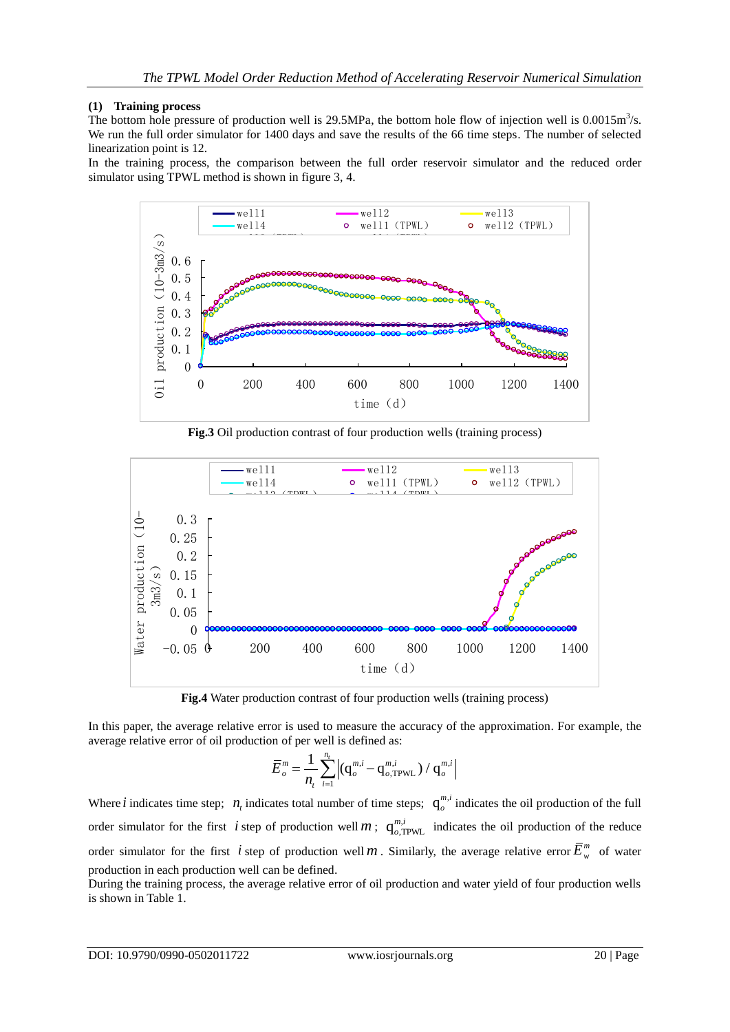#### **(1) Training process**

The bottom hole pressure of production well is 29.5MPa, the bottom hole flow of injection well is  $0.0015m<sup>3</sup>/s$ . We run the full order simulator for 1400 days and save the results of the 66 time steps. The number of selected linearization point is 12.

In the training process, the comparison between the full order reservoir simulator and the reduced order simulator using TPWL method is shown in figure 3, 4.



**Fig.3** Oil production contrast of four production wells (training process)



**Fig.4** Water production contrast of four production wells (training process)

In this paper, the average relative error is used to measure the accuracy of the approximation. For example, the average relative error of oil production of per well is defined as:

$$
\overline{E}_{o}^{m} = \frac{1}{n_{t}} \sum_{i=1}^{n_{t}} \left| (q_{o}^{m,i} - q_{o,\text{TPWL}}^{m,i}) / q_{o}^{m,i} \right|
$$

Where *i* indicates time step;  $n_t$  indicates total number of time steps;  $q_o^{m,t}$  $\int_{o}^{m,t}$  indicates the oil production of the full order simulator for the first *i* step of production well *m*;  $q_{o,TPWL}^{m,i}$  $\frac{m,l}{\omega, \text{TPWL}}$  indicates the oil production of the reduce order simulator for the first *i* step of production well *m*. Similarly, the average relative error  $\bar{E}_{w}^{m}$  of water production in each production well can be defined.

During the training process, the average relative error of oil production and water yield of four production wells is shown in Table 1.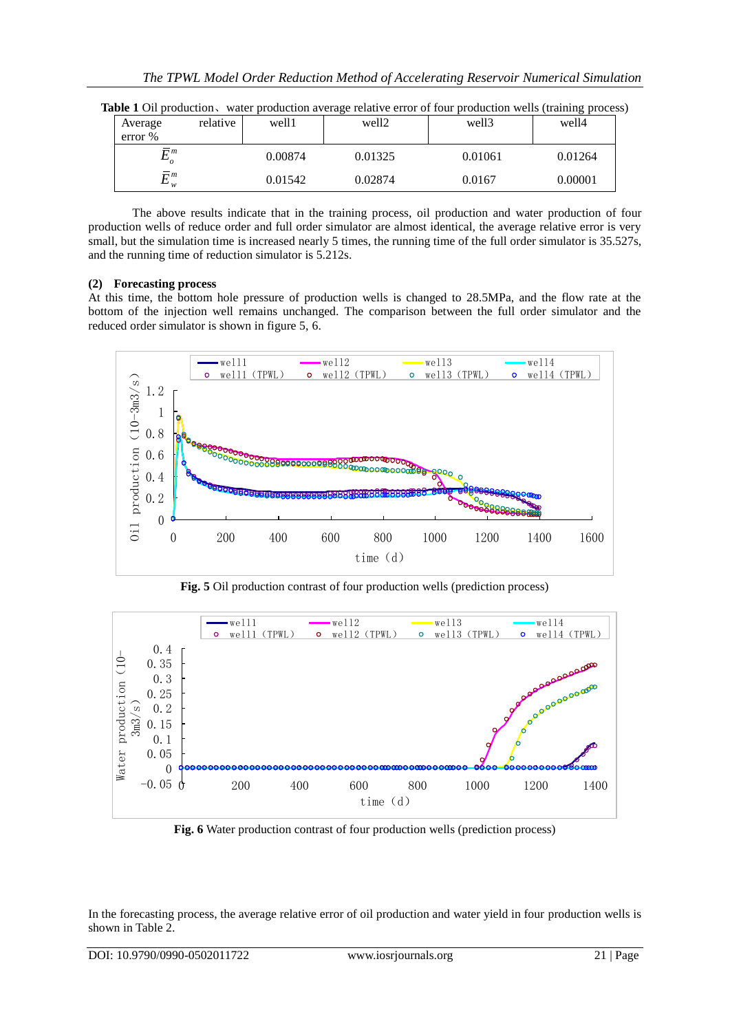| Average | relative                   | well1   | well <sub>2</sub> | well3   | $\sim$ $\sim$<br>well4 |
|---------|----------------------------|---------|-------------------|---------|------------------------|
| error % |                            |         |                   |         |                        |
|         | $\mathbf{\Gamma}^m$<br>-   | 0.00874 | 0.01325           | 0.01061 | 0.01264                |
|         | $\mathbf{r}$ m<br>◡<br>' w | 0.01542 | 0.02874           | 0.0167  | 0.00001                |

|  | Table 1 Oil production, water production average relative error of four production wells (training process) |  |  |  |  |  |
|--|-------------------------------------------------------------------------------------------------------------|--|--|--|--|--|
|  |                                                                                                             |  |  |  |  |  |

The above results indicate that in the training process, oil production and water production of four production wells of reduce order and full order simulator are almost identical, the average relative error is very small, but the simulation time is increased nearly 5 times, the running time of the full order simulator is 35.527s, and the running time of reduction simulator is 5.212s.

#### **(2) Forecasting process**

At this time, the bottom hole pressure of production wells is changed to 28.5MPa, and the flow rate at the bottom of the injection well remains unchanged. The comparison between the full order simulator and the reduced order simulator is shown in figure 5, 6.



**Fig. 5** Oil production contrast of four production wells (prediction process)



**Fig. 6** Water production contrast of four production wells (prediction process)

In the forecasting process, the average relative error of oil production and water yield in four production wells is shown in Table 2.